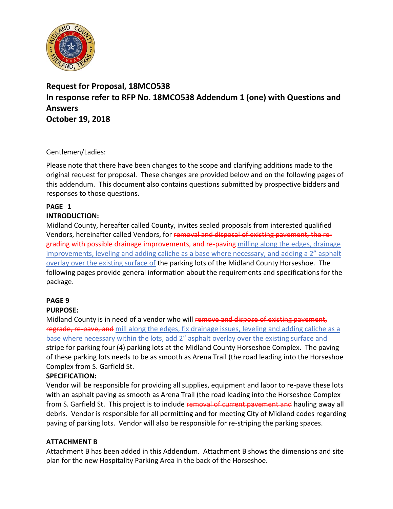<span id="page-0-0"></span>

# **Request for Proposal, 18MCO538 In response refer to RFP No. 18MCO538 Addendum 1 (one) with Questions and Answers October 19, 2018**

## Gentlemen/Ladies:

Please note that there have been changes to the scope and clarifying additions made to the original request for proposal. These changes are provided below and on the following pages of this addendum. This document also contains questions submitted by prospective bidders and responses to those questions.

#### **PAGE 1 INTRODUCTION:**

Midland County, hereafter called County, invites sealed proposals from interested qualified Vendors, hereinafter called Vendors, for removal and disposal of existing pavement, the regrading with possible drainage improvements, and re-paving milling along the edges, drainage improvements, leveling and adding caliche as a base where necessary, and adding a 2" asphalt overlay over the existing surface of the parking lots of the Midland County Horseshoe. The following pages provide general information about the requirements and specifications for the package.

# **PAGE 9**

# **PURPOSE:**

Midland County is in need of a vendor who will remove and dispose of existing pavement, regrade, re-pave, and mill along the edges, fix drainage issues, leveling and adding caliche as a base where necessary within the lots, add 2" asphalt overlay over the existing surface and stripe for parking four (4) parking lots at the Midland County Horseshoe Complex. The paving of these parking lots needs to be as smooth as Arena Trail (the road leading into the Horseshoe Complex from S. Garfield St.

# **SPECIFICATION:**

Vendor will be responsible for providing all supplies, equipment and labor to re-pave these lots with an asphalt paving as smooth as Arena Trail (the road leading into the Horseshoe Complex from S. Garfield St. This project is to include removal of current pavement and hauling away all debris. Vendor is responsible for all permitting and for meeting City of Midland codes regarding paving of parking lots. Vendor will also be responsible for re-striping the parking spaces.

## **ATTACHMENT B**

Attachment B has been added in this Addendum. Attachment B shows the dimensions and site plan for the new Hospitality Parking Area in the back of the Horseshoe.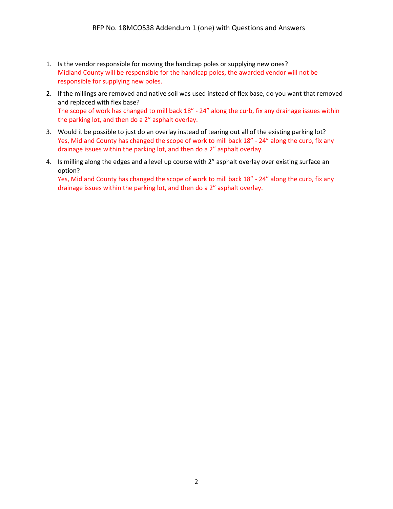- 1. Is the vendor responsible for moving the handicap poles or supplying new ones? Midland County will be responsible for the handicap poles, the awarded vendor will not be responsible for supplying new poles.
- 2. If the millings are removed and native soil was used instead of flex base, do you want that removed and replaced with flex base? The scope of work has changed to mill back 18" - 24" along the curb, fix any drainage issues within the parking lot, and then do a 2" asphalt overlay.
- 3. Would it be possible to just do an overlay instead of tearing out all of the existing parking lot? Yes, Midland County has changed the scope of work to mill back 18" - 24" along the curb, fix any drainage issues within the parking lot, and then do a 2" asphalt overlay.
- 4. Is milling along the edges and a level up course with 2" asphalt overlay over existing surface an option?

Yes, Midland County has changed the scope of work to mill back 18" - 24" along the curb, fix any drainage issues within the parking lot, and then do a 2" asphalt overlay.